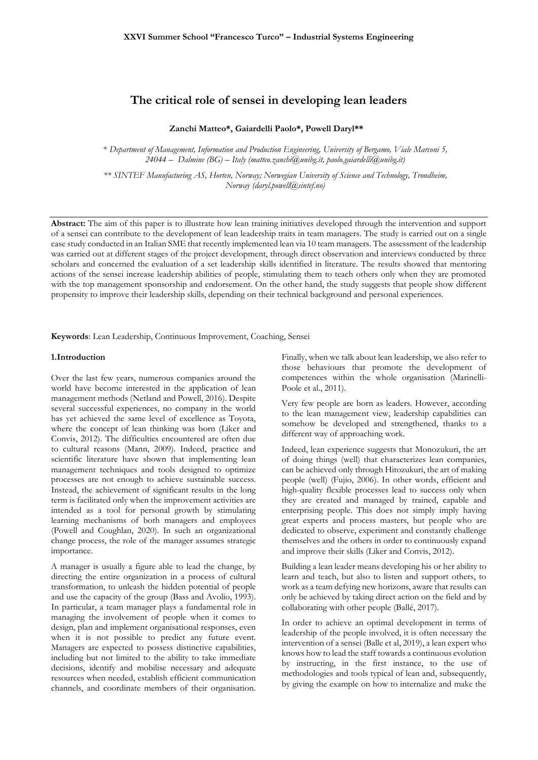# **The critical role of sensei in developing lean leaders**

## **Zanchi Matteo\*, Gaiardelli Paolo\*, Powell Daryl\*\***

*\* Department of Management, Information and Production Engineering, University of Bergamo, Viale Marconi 5, 24044 – Dalmine (BG) – Italy (matteo.zanchi@unibg.it, paolo.gaiardelli@unibg.it)*

*\*\* SINTEF Manufacturing AS, Horten, Norway; Norwegian University of Science and Technology, Trondheim, Norway (daryl.powell@sintef.no)*

**Abstract:** The aim of this paper is to illustrate how lean training initiatives developed through the intervention and support of a sensei can contribute to the development of lean leadership traits in team managers. The study is carried out on a single case study conducted in an Italian SME that recently implemented lean via 10 team managers. The assessment of the leadership was carried out at different stages of the project development, through direct observation and interviews conducted by three scholars and concerned the evaluation of a set leadership skills identified in literature. The results showed that mentoring actions of the sensei increase leadership abilities of people, stimulating them to teach others only when they are promoted with the top management sponsorship and endorsement. On the other hand, the study suggests that people show different propensity to improve their leadership skills, depending on their technical background and personal experiences.

**Keywords**: Lean Leadership, Continuous Improvement, Coaching, Sensei

### **1.Introduction**

Over the last few years, numerous companies around the world have become interested in the application of lean management methods (Netland and Powell, 2016). Despite several successful experiences, no company in the world has yet achieved the same level of excellence as Toyota, where the concept of lean thinking was born (Liker and Convis, 2012). The difficulties encountered are often due to cultural reasons (Mann, 2009). Indeed, practice and scientific literature have shown that implementing lean management techniques and tools designed to optimize processes are not enough to achieve sustainable success. Instead, the achievement of significant results in the long term is facilitated only when the improvement activities are intended as a tool for personal growth by stimulating learning mechanisms of both managers and employees (Powell and Coughlan, 2020). In such an organizational change process, the role of the manager assumes strategic importance.

A manager is usually a figure able to lead the change, by directing the entire organization in a process of cultural transformation, to unleash the hidden potential of people and use the capacity of the group (Bass and Avolio, 1993). In particular, a team manager plays a fundamental role in managing the involvement of people when it comes to design, plan and implement organisational responses, even when it is not possible to predict any future event. Managers are expected to possess distinctive capabilities, including but not limited to the ability to take immediate decisions, identify and mobilise necessary and adequate resources when needed, establish efficient communication channels, and coordinate members of their organisation. Finally, when we talk about lean leadership, we also refer to those behaviours that promote the development of competences within the whole organisation (Marinelli-Poole et al., 2011).

Very few people are born as leaders. However, according to the lean management view, leadership capabilities can somehow be developed and strengthened, thanks to a different way of approaching work.

Indeed, lean experience suggests that Monozukuri, the art of doing things (well) that characterizes lean companies, can be achieved only through Hitozukuri, the art of making people (well) (Fujio, 2006). In other words, efficient and high-quality flexible processes lead to success only when they are created and managed by trained, capable and enterprising people. This does not simply imply having great experts and process masters, but people who are dedicated to observe, experiment and constantly challenge themselves and the others in order to continuously expand and improve their skills (Liker and Convis, 2012).

Building a lean leader means developing his or her ability to learn and teach, but also to listen and support others, to work as a team defying new horizons, aware that results can only be achieved by taking direct action on the field and by collaborating with other people (Ballé, 2017).

In order to achieve an optimal development in terms of leadership of the people involved, it is often necessary the intervention of a sensei (Balle et al, 2019), a lean expert who knows how to lead the staff towards a continuous evolution by instructing, in the first instance, to the use of methodologies and tools typical of lean and, subsequently, by giving the example on how to internalize and make the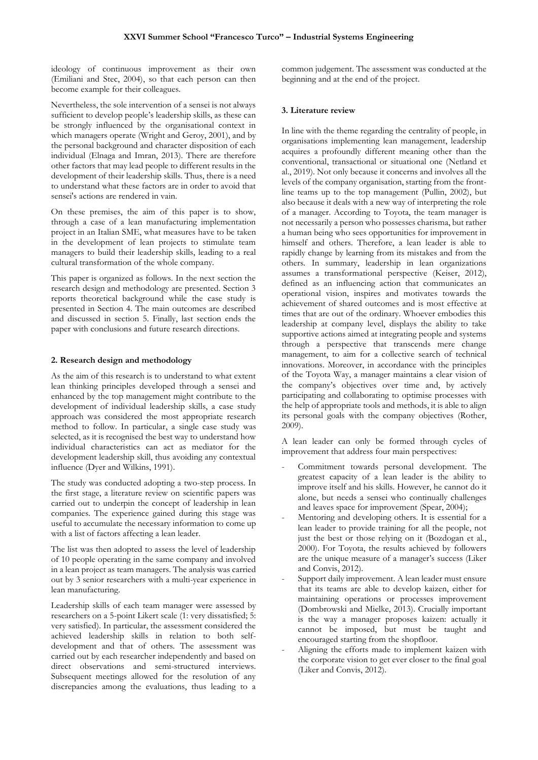ideology of continuous improvement as their own (Emiliani and Stec, 2004), so that each person can then become example for their colleagues.

Nevertheless, the sole intervention of a sensei is not always sufficient to develop people's leadership skills, as these can be strongly influenced by the organisational context in which managers operate (Wright and Geroy, 2001), and by the personal background and character disposition of each individual (Elnaga and Imran, 2013). There are therefore other factors that may lead people to different results in the development of their leadership skills. Thus, there is a need to understand what these factors are in order to avoid that sensei's actions are rendered in vain.

On these premises, the aim of this paper is to show, through a case of a lean manufacturing implementation project in an Italian SME, what measures have to be taken in the development of lean projects to stimulate team managers to build their leadership skills, leading to a real cultural transformation of the whole company.

This paper is organized as follows. In the next section the research design and methodology are presented. Section 3 reports theoretical background while the case study is presented in Section 4. The main outcomes are described and discussed in section 5. Finally, last section ends the paper with conclusions and future research directions.

# **2. Research design and methodology**

As the aim of this research is to understand to what extent lean thinking principles developed through a sensei and enhanced by the top management might contribute to the development of individual leadership skills, a case study approach was considered the most appropriate research method to follow. In particular, a single case study was selected, as it is recognised the best way to understand how individual characteristics can act as mediator for the development leadership skill, thus avoiding any contextual influence (Dyer and Wilkins, 1991).

The study was conducted adopting a two-step process. In the first stage, a literature review on scientific papers was carried out to underpin the concept of leadership in lean companies. The experience gained during this stage was useful to accumulate the necessary information to come up with a list of factors affecting a lean leader.

The list was then adopted to assess the level of leadership of 10 people operating in the same company and involved in a lean project as team managers. The analysis was carried out by 3 senior researchers with a multi-year experience in lean manufacturing.

Leadership skills of each team manager were assessed by researchers on a 5-point Likert scale (1: very dissatisfied; 5: very satisfied). In particular, the assessment considered the achieved leadership skills in relation to both selfdevelopment and that of others. The assessment was carried out by each researcher independently and based on direct observations and semi-structured interviews. Subsequent meetings allowed for the resolution of any discrepancies among the evaluations, thus leading to a common judgement. The assessment was conducted at the beginning and at the end of the project.

#### **3. Literature review**

In line with the theme regarding the centrality of people, in organisations implementing lean management, leadership acquires a profoundly different meaning other than the conventional, transactional or situational one (Netland et al., 2019). Not only because it concerns and involves all the levels of the company organisation, starting from the frontline teams up to the top management (Pullin, 2002), but also because it deals with a new way of interpreting the role of a manager. According to Toyota, the team manager is not necessarily a person who possesses charisma, but rather a human being who sees opportunities for improvement in himself and others. Therefore, a lean leader is able to rapidly change by learning from its mistakes and from the others. In summary, leadership in lean organizations assumes a transformational perspective (Keiser, 2012), defined as an influencing action that communicates an operational vision, inspires and motivates towards the achievement of shared outcomes and is most effective at times that are out of the ordinary. Whoever embodies this leadership at company level, displays the ability to take supportive actions aimed at integrating people and systems through a perspective that transcends mere change management, to aim for a collective search of technical innovations. Moreover, in accordance with the principles of the Toyota Way, a manager maintains a clear vision of the company's objectives over time and, by actively participating and collaborating to optimise processes with the help of appropriate tools and methods, it is able to align its personal goals with the company objectives (Rother, 2009).

A lean leader can only be formed through cycles of improvement that address four main perspectives:

- Commitment towards personal development. The greatest capacity of a lean leader is the ability to improve itself and his skills. However, he cannot do it alone, but needs a sensei who continually challenges and leaves space for improvement (Spear, 2004);
- Mentoring and developing others. It is essential for a lean leader to provide training for all the people, not just the best or those relying on it (Bozdogan et al., 2000). For Toyota, the results achieved by followers are the unique measure of a manager's success (Liker and Convis, 2012).
- Support daily improvement. A lean leader must ensure that its teams are able to develop kaizen, either for maintaining operations or processes improvement (Dombrowski and Mielke, 2013). Crucially important is the way a manager proposes kaizen: actually it cannot be imposed, but must be taught and encouraged starting from the shopfloor.
- Aligning the efforts made to implement kaizen with the corporate vision to get ever closer to the final goal (Liker and Convis, 2012).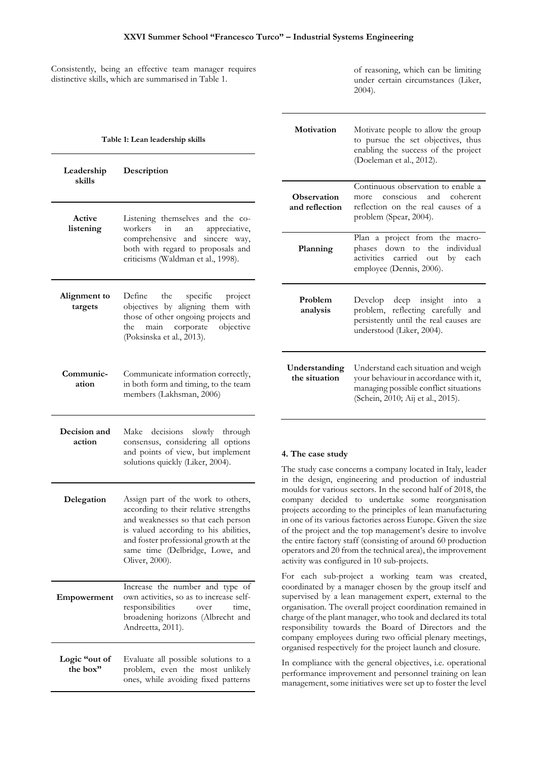Consistently, being an effective team manager requires distinctive skills, which are summarised in Table 1.

of reasoning, which can be limiting under certain circumstances (Liker, 2004).

| Table 1: Lean leadership skills |                                                                                                                                                                                                                                                          | Motivation                                                                                                                                                                                                                                                                                                                                                                                                                                                                                                                                                                                                                             | Motivate people to allow the group<br>to pursue the set objectives, thus<br>enabling the success of the project                                            |
|---------------------------------|----------------------------------------------------------------------------------------------------------------------------------------------------------------------------------------------------------------------------------------------------------|----------------------------------------------------------------------------------------------------------------------------------------------------------------------------------------------------------------------------------------------------------------------------------------------------------------------------------------------------------------------------------------------------------------------------------------------------------------------------------------------------------------------------------------------------------------------------------------------------------------------------------------|------------------------------------------------------------------------------------------------------------------------------------------------------------|
| Leadership<br>skills<br>Active  | Description                                                                                                                                                                                                                                              |                                                                                                                                                                                                                                                                                                                                                                                                                                                                                                                                                                                                                                        | (Doeleman et al., 2012).                                                                                                                                   |
|                                 |                                                                                                                                                                                                                                                          | Observation<br>and reflection                                                                                                                                                                                                                                                                                                                                                                                                                                                                                                                                                                                                          | Continuous observation to enable a<br>and<br>coherent<br>conscious<br>more<br>reflection on the real causes of a<br>problem (Spear, 2004).                 |
| listening                       | Listening themselves and the co-<br>workers<br>in<br>appreciative,<br>an<br>comprehensive and sincere way,<br>both with regard to proposals and<br>criticisms (Waldman et al., 1998).                                                                    | Planning                                                                                                                                                                                                                                                                                                                                                                                                                                                                                                                                                                                                                               | Plan a project from the macro-<br>phases down to the individual<br>activities carried out by each<br>employee (Dennis, 2006).                              |
| Alignment to<br>targets         | Define<br>the<br>specific<br>project<br>objectives by aligning them with<br>those of other ongoing projects and<br>main corporate<br>objective<br>the<br>(Poksinska et al., 2013).                                                                       | Problem<br>analysis                                                                                                                                                                                                                                                                                                                                                                                                                                                                                                                                                                                                                    | deep insight into<br>Develop<br><sub>a</sub><br>problem, reflecting carefully and<br>persistently until the real causes are<br>understood (Liker, 2004).   |
| Communic-<br>ation              | Communicate information correctly,<br>in both form and timing, to the team<br>members (Lakhsman, 2006)                                                                                                                                                   | Understanding<br>the situation                                                                                                                                                                                                                                                                                                                                                                                                                                                                                                                                                                                                         | Understand each situation and weigh<br>your behaviour in accordance with it,<br>managing possible conflict situations<br>(Schein, 2010; Aij et al., 2015). |
| Decision and<br>action          | Make decisions slowly through<br>consensus, considering all options<br>and points of view, but implement<br>solutions quickly (Liker, 2004).                                                                                                             | 4. The case study<br>The study case concerns a company located in Italy, leader<br>in the design, engineering and production of industrial<br>moulds for various sectors. In the second half of 2018, the<br>company decided to undertake some reorganisation<br>projects according to the principles of lean manufacturing<br>in one of its various factories across Europe. Given the size<br>of the project and the top management's desire to involve<br>the entire factory staff (consisting of around 60 production<br>operators and 20 from the technical area), the improvement<br>activity was configured in 10 sub-projects. |                                                                                                                                                            |
| Delegation                      | Assign part of the work to others,<br>according to their relative strengths<br>and weaknesses so that each person<br>is valued according to his abilities,<br>and foster professional growth at the<br>same time (Delbridge, Lowe, and<br>Oliver, 2000). |                                                                                                                                                                                                                                                                                                                                                                                                                                                                                                                                                                                                                                        |                                                                                                                                                            |
| Empowerment                     | Increase the number and type of<br>own activities, so as to increase self-<br>responsibilities<br>time,<br>over<br>broadening horizons (Albrecht and<br>Andreetta, 2011).                                                                                | For each sub-project a working team was created,<br>coordinated by a manager chosen by the group itself and<br>supervised by a lean management expert, external to the<br>organisation. The overall project coordination remained in<br>charge of the plant manager, who took and declared its total<br>responsibility towards the Board of Directors and the<br>company employees during two official plenary meetings,<br>organised respectively for the project launch and closure.                                                                                                                                                 |                                                                                                                                                            |
| Logic "out of<br>the box"       | Evaluate all possible solutions to a<br>problem, even the most unlikely<br>ones, while avoiding fixed patterns                                                                                                                                           | In compliance with the general objectives, i.e. operational<br>performance improvement and personnel training on lean<br>management, some initiatives were set up to foster the level                                                                                                                                                                                                                                                                                                                                                                                                                                                  |                                                                                                                                                            |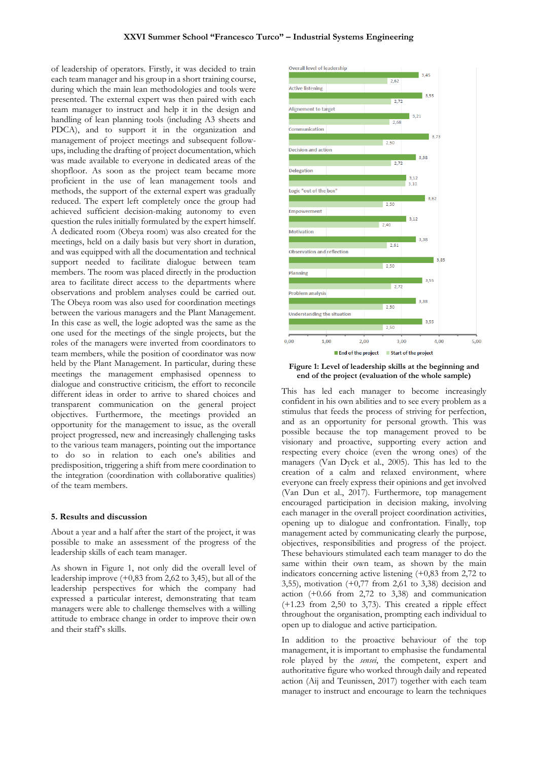of leadership of operators. Firstly, it was decided to train each team manager and his group in a short training course, during which the main lean methodologies and tools were presented. The external expert was then paired with each team manager to instruct and help it in the design and handling of lean planning tools (including A3 sheets and PDCA), and to support it in the organization and management of project meetings and subsequent followups, including the drafting of project documentation, which was made available to everyone in dedicated areas of the shopfloor. As soon as the project team became more proficient in the use of lean management tools and methods, the support of the external expert was gradually reduced. The expert left completely once the group had achieved sufficient decision-making autonomy to even question the rules initially formulated by the expert himself. A dedicated room (Obeya room) was also created for the meetings, held on a daily basis but very short in duration, and was equipped with all the documentation and technical support needed to facilitate dialogue between team members. The room was placed directly in the production area to facilitate direct access to the departments where observations and problem analyses could be carried out. The Obeya room was also used for coordination meetings between the various managers and the Plant Management. In this case as well, the logic adopted was the same as the one used for the meetings of the single projects, but the roles of the managers were inverted from coordinators to team members, while the position of coordinator was now held by the Plant Management. In particular, during these meetings the management emphasised openness to dialogue and constructive criticism, the effort to reconcile different ideas in order to arrive to shared choices and transparent communication on the general project objectives. Furthermore, the meetings provided an opportunity for the management to issue, as the overall project progressed, new and increasingly challenging tasks to the various team managers, pointing out the importance to do so in relation to each one's abilities and predisposition, triggering a shift from mere coordination to the integration (coordination with collaborative qualities) of the team members.

#### **5. Results and discussion**

About a year and a half after the start of the project, it was possible to make an assessment of the progress of the leadership skills of each team manager.

As shown in Figure 1, not only did the overall level of leadership improve (+0,83 from 2,62 to 3,45), but all of the leadership perspectives for which the company had expressed a particular interest, demonstrating that team managers were able to challenge themselves with a willing attitude to embrace change in order to improve their own and their staff's skills.



**Figure 1: Level of leadership skills at the beginning and end of the project (evaluation of the whole sample)**

This has led each manager to become increasingly confident in his own abilities and to see every problem as a stimulus that feeds the process of striving for perfection, and as an opportunity for personal growth. This was possible because the top management proved to be visionary and proactive, supporting every action and respecting every choice (even the wrong ones) of the managers (Van Dyck et al., 2005). This has led to the creation of a calm and relaxed environment, where everyone can freely express their opinions and get involved (Van Dun et al., 2017). Furthermore, top management encouraged participation in decision making, involving each manager in the overall project coordination activities, opening up to dialogue and confrontation. Finally, top management acted by communicating clearly the purpose, objectives, responsibilities and progress of the project. These behaviours stimulated each team manager to do the same within their own team, as shown by the main indicators concerning active listening (+0,83 from 2,72 to 3,55), motivation (+0,77 from 2,61 to 3,38) decision and action (+0.66 from 2,72 to 3,38) and communication (+1.23 from 2,50 to 3,73). This created a ripple effect throughout the organisation, prompting each individual to open up to dialogue and active participation.

In addition to the proactive behaviour of the top management, it is important to emphasise the fundamental role played by the *sensei*, the competent, expert and authoritative figure who worked through daily and repeated action (Aij and Teunissen, 2017) together with each team manager to instruct and encourage to learn the techniques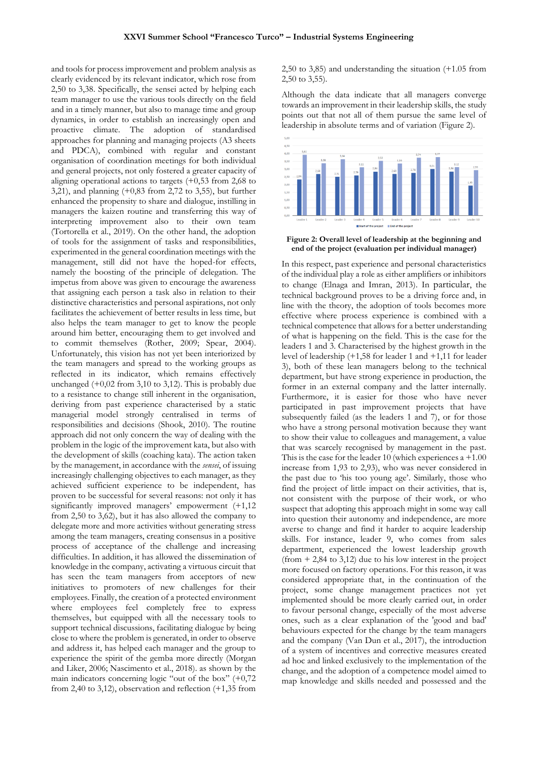and tools for process improvement and problem analysis as clearly evidenced by its relevant indicator, which rose from 2,50 to 3,38. Specifically, the sensei acted by helping each team manager to use the various tools directly on the field and in a timely manner, but also to manage time and group dynamics, in order to establish an increasingly open and proactive climate. The adoption of standardised approaches for planning and managing projects (A3 sheets and PDCA), combined with regular and constant organisation of coordination meetings for both individual and general projects, not only fostered a greater capacity of aligning operational actions to targets  $(+0.53$  from 2,68 to 3,21), and planning (+0,83 from 2,72 to 3,55), but further enhanced the propensity to share and dialogue, instilling in managers the kaizen routine and transferring this way of interpreting improvement also to their own team (Tortorella et al., 2019). On the other hand, the adoption of tools for the assignment of tasks and responsibilities, experimented in the general coordination meetings with the management, still did not have the hoped-for effects, namely the boosting of the principle of delegation. The impetus from above was given to encourage the awareness that assigning each person a task also in relation to their distinctive characteristics and personal aspirations, not only facilitates the achievement of better results in less time, but also helps the team manager to get to know the people around him better, encouraging them to get involved and to commit themselves (Rother, 2009; Spear, 2004). Unfortunately, this vision has not yet been interiorized by the team managers and spread to the working groups as reflected in its indicator, which remains effectively unchanged  $(+0.02$  from 3,10 to 3,12). This is probably due to a resistance to change still inherent in the organisation, deriving from past experience characterised by a static managerial model strongly centralised in terms of responsibilities and decisions (Shook, 2010). The routine approach did not only concern the way of dealing with the problem in the logic of the improvement kata, but also with the development of skills (coaching kata). The action taken by the management, in accordance with the *sensei*, of issuing increasingly challenging objectives to each manager, as they achieved sufficient experience to be independent, has proven to be successful for several reasons: not only it has significantly improved managers' empowerment (+1,12) from 2,50 to 3,62), but it has also allowed the company to delegate more and more activities without generating stress among the team managers, creating consensus in a positive process of acceptance of the challenge and increasing difficulties. In addition, it has allowed the dissemination of knowledge in the company, activating a virtuous circuit that has seen the team managers from acceptors of new initiatives to promoters of new challenges for their employees. Finally, the creation of a protected environment where employees feel completely free to express themselves, but equipped with all the necessary tools to support technical discussions, facilitating dialogue by being close to where the problem is generated, in order to observe and address it, has helped each manager and the group to experience the spirit of the gemba more directly (Morgan and Liker, 2006; Nascimento et al., 2018). as shown by the main indicators concerning logic "out of the box" (+0,72 from 2,40 to 3,12), observation and reflection (+1,35 from 2,50 to 3,85) and understanding the situation (+1.05 from 2,50 to 3,55).

Although the data indicate that all managers converge towards an improvement in their leadership skills, the study points out that not all of them pursue the same level of leadership in absolute terms and of variation (Figure 2).



**Figure 2: Overall level of leadership at the beginning and end of the project (evaluation per individual manager)**

In this respect, past experience and personal characteristics of the individual play a role as either amplifiers or inhibitors to change (Elnaga and Imran, 2013). In particular, the technical background proves to be a driving force and, in line with the theory, the adoption of tools becomes more effective where process experience is combined with a technical competence that allows for a better understanding of what is happening on the field. This is the case for the leaders 1 and 3. Characterised by the highest growth in the level of leadership (+1,58 for leader 1 and +1,11 for leader 3), both of these lean managers belong to the technical department, but have strong experience in production, the former in an external company and the latter internally. Furthermore, it is easier for those who have never participated in past improvement projects that have subsequently failed (as the leaders 1 and 7), or for those who have a strong personal motivation because they want to show their value to colleagues and management, a value that was scarcely recognised by management in the past. This is the case for the leader 10 (which experiences a +1.00 increase from 1,93 to 2,93), who was never considered in the past due to 'his too young age'. Similarly, those who find the project of little impact on their activities, that is, not consistent with the purpose of their work, or who suspect that adopting this approach might in some way call into question their autonomy and independence, are more averse to change and find it harder to acquire leadership skills. For instance, leader 9, who comes from sales department, experienced the lowest leadership growth  $(from + 2,84$  to 3,12) due to his low interest in the project more focused on factory operations. For this reason, it was considered appropriate that, in the continuation of the project, some change management practices not yet implemented should be more clearly carried out, in order to favour personal change, especially of the most adverse ones, such as a clear explanation of the 'good and bad' behaviours expected for the change by the team managers and the company (Van Dun et al., 2017), the introduction of a system of incentives and corrective measures created ad hoc and linked exclusively to the implementation of the change, and the adoption of a competence model aimed to map knowledge and skills needed and possessed and the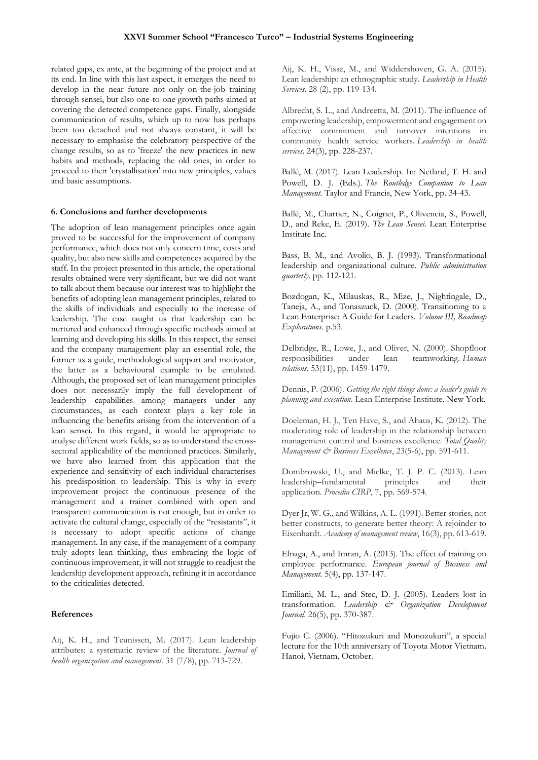related gaps, ex ante, at the beginning of the project and at its end. In line with this last aspect, it emerges the need to develop in the near future not only on-the-job training through sensei, but also one-to-one growth paths aimed at covering the detected competence gaps. Finally, alongside communication of results, which up to now has perhaps been too detached and not always constant, it will be necessary to emphasise the celebratory perspective of the change results, so as to 'freeze' the new practices in new habits and methods, replacing the old ones, in order to proceed to their 'crystallisation' into new principles, values and basic assumptions.

#### **6. Conclusions and further developments**

The adoption of lean management principles once again proved to be successful for the improvement of company performance, which does not only concern time, costs and quality, but also new skills and competences acquired by the staff. In the project presented in this article, the operational results obtained were very significant, but we did not want to talk about them because our interest was to highlight the benefits of adopting lean management principles, related to the skills of individuals and especially to the increase of leadership. The case taught us that leadership can be nurtured and enhanced through specific methods aimed at learning and developing his skills. In this respect, the sensei and the company management play an essential role, the former as a guide, methodological support and motivator, the latter as a behavioural example to be emulated. Although, the proposed set of lean management principles does not necessarily imply the full development of leadership capabilities among managers under any circumstances, as each context plays a key role in influencing the benefits arising from the intervention of a lean sensei. In this regard, it would be appropriate to analyse different work fields, so as to understand the crosssectoral applicability of the mentioned practices. Similarly, we have also learned from this application that the experience and sensitivity of each individual characterises his predisposition to leadership. This is why in every improvement project the continuous presence of the management and a trainer combined with open and transparent communication is not enough, but in order to activate the cultural change, especially of the "resistants", it is necessary to adopt specific actions of change management. In any case, if the management of a company truly adopts lean thinking, thus embracing the logic of continuous improvement, it will not struggle to readjust the leadership development approach, refining it in accordance to the criticalities detected.

#### **References**

Aij, K. H., and Teunissen, M. (2017). Lean leadership attributes: a systematic review of the literature. *Journal of health organization and management*. 31 (7/8), pp. 713-729.

Aij, K. H., Visse, M., and Widdershoven, G. A. (2015). Lean leadership: an ethnographic study. *Leadership in Health Services*. 28 (2), pp. 119-134.

Albrecht, S. L., and Andreetta, M. (2011). The influence of empowering leadership, empowerment and engagement on affective commitment and turnover intentions in community health service workers. *Leadership in health services*. 24(3), pp. 228-237.

Ballé, M. (2017). Lean Leadership*.* In: Netland, T. H. and Powell, D. J. (Eds.). *The Routledge Companion to Lean Management.* Taylor and Francis, New York, pp. 34-43.

Ballé, M., Chartier, N., Coignet, P., Olivencia, S., Powell, D., and Reke, E. (2019). *The Lean Sensei*. Lean Enterprise Institute Inc.

Bass, B. M., and Avolio, B. J. (1993). Transformational leadership and organizational culture. *Public administration quarterly*. pp. 112-121.

Bozdogan, K., Milauskas, R., Mize, J., Nightingale, D., Taneja, A., and Tonaszuck, D. (2000). Transitioning to a Lean Enterprise: A Guide for Leaders. *Volume III, Roadmap Explorations*. p.53.

Delbridge, R., Lowe, J., and Oliver, N. (2000). Shopfloor responsibilities under lean teamworking. *Human relations.* 53(11), pp. 1459-1479.

Dennis, P. (2006). *Getting the right things done: a leader's guide to planning and execution*. Lean Enterprise Institute, New York.

Doeleman, H. J., Ten Have, S., and Ahaus, K. (2012). The moderating role of leadership in the relationship between management control and business excellence. *Total Quality Management & Business Excellence*, 23(5-6), pp. 591-611.

Dombrowski, U., and Mielke, T. J. P. C. (2013). Lean leadership–fundamental principles and their application. *Procedia CIRP*, 7, pp. 569-574.

Dyer Jr, W. G., and Wilkins, A. L. (1991). Better stories, not better constructs, to generate better theory: A rejoinder to Eisenhardt. *Academy of management review*, 16(3), pp. 613-619.

Elnaga, A., and Imran, A. (2013). The effect of training on employee performance. *European journal of Business and Management.* 5(4), pp. 137-147.

Emiliani, M. L., and Stec, D. J. (2005). Leaders lost in transformation. *Leadership & Organization Development Journal*. 26(5), pp. 370-387.

Fujio C. (2006). "Hitozukuri and Monozukuri", a special lecture for the 10th anniversary of Toyota Motor Vietnam. Hanoi, Vietnam, October.